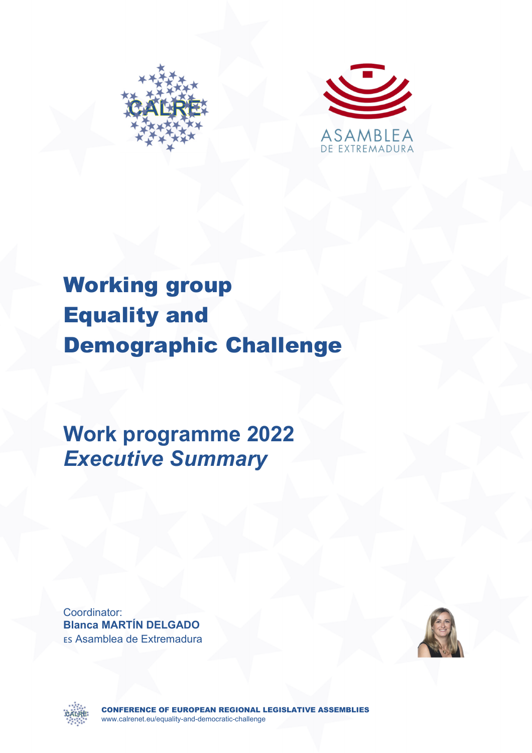



## Working group Equality and Demographic Challenge

**Work programme 2022**  *Executive Summary* 

Coordinator: **Blanca MARTÍN DELGADO** Es Asamblea de Extremadura





CONFERENCE OF EUROPEAN REGIONAL LEGISLATIVE ASSEMBLIES www.calrenet.eu/equality-and-democratic-challenge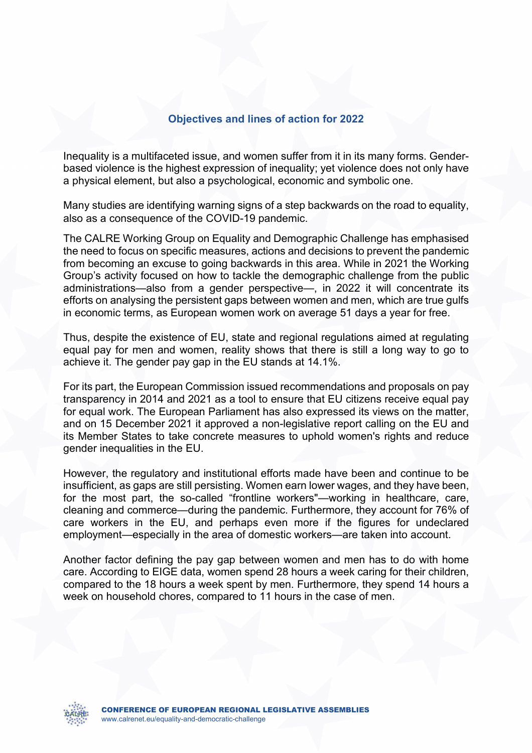## **Objectives and lines of action for 2022**

Inequality is a multifaceted issue, and women suffer from it in its many forms. Genderbased violence is the highest expression of inequality; yet violence does not only have a physical element, but also a psychological, economic and symbolic one.

Many studies are identifying warning signs of a step backwards on the road to equality, also as a consequence of the COVID-19 pandemic.

The CALRE Working Group on Equality and Demographic Challenge has emphasised the need to focus on specific measures, actions and decisions to prevent the pandemic from becoming an excuse to going backwards in this area. While in 2021 the Working Group's activity focused on how to tackle the demographic challenge from the public administrations—also from a gender perspective—, in 2022 it will concentrate its efforts on analysing the persistent gaps between women and men, which are true gulfs in economic terms, as European women work on average 51 days a year for free.

Thus, despite the existence of EU, state and regional regulations aimed at regulating equal pay for men and women, reality shows that there is still a long way to go to achieve it. The gender pay gap in the EU stands at 14.1%.

For its part, the European Commission issued recommendations and proposals on pay transparency in 2014 and 2021 as a tool to ensure that EU citizens receive equal pay for equal work. The European Parliament has also expressed its views on the matter, and on 15 December 2021 it approved a non-legislative report calling on the EU and its Member States to take concrete measures to uphold women's rights and reduce gender inequalities in the EU.

However, the regulatory and institutional efforts made have been and continue to be insufficient, as gaps are still persisting. Women earn lower wages, and they have been, for the most part, the so-called "frontline workers"—working in healthcare, care, cleaning and commerce—during the pandemic. Furthermore, they account for 76% of care workers in the EU, and perhaps even more if the figures for undeclared employment—especially in the area of domestic workers—are taken into account.

Another factor defining the pay gap between women and men has to do with home care. According to EIGE data, women spend 28 hours a week caring for their children, compared to the 18 hours a week spent by men. Furthermore, they spend 14 hours a week on household chores, compared to 11 hours in the case of men.

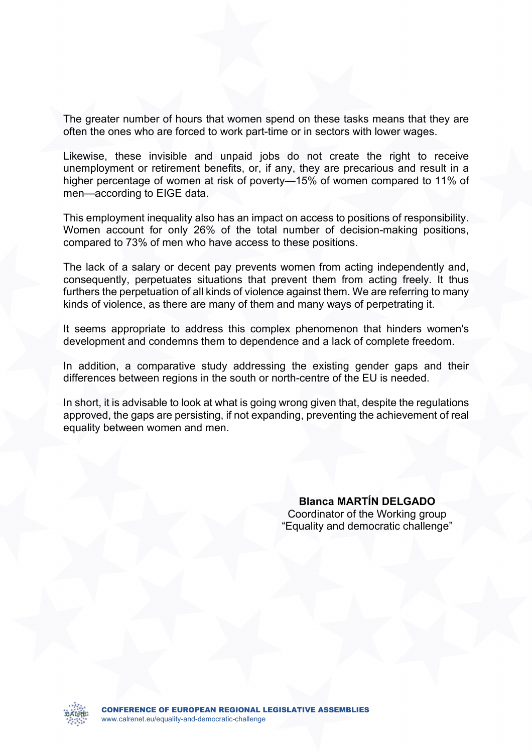The greater number of hours that women spend on these tasks means that they are often the ones who are forced to work part-time or in sectors with lower wages.

Likewise, these invisible and unpaid jobs do not create the right to receive unemployment or retirement benefits, or, if any, they are precarious and result in a higher percentage of women at risk of poverty—15% of women compared to 11% of men—according to EIGE data.

This employment inequality also has an impact on access to positions of responsibility. Women account for only 26% of the total number of decision-making positions, compared to 73% of men who have access to these positions.

The lack of a salary or decent pay prevents women from acting independently and, consequently, perpetuates situations that prevent them from acting freely. It thus furthers the perpetuation of all kinds of violence against them. We are referring to many kinds of violence, as there are many of them and many ways of perpetrating it.

It seems appropriate to address this complex phenomenon that hinders women's development and condemns them to dependence and a lack of complete freedom.

In addition, a comparative study addressing the existing gender gaps and their differences between regions in the south or north-centre of the EU is needed.

In short, it is advisable to look at what is going wrong given that, despite the regulations approved, the gaps are persisting, if not expanding, preventing the achievement of real equality between women and men.

> **Blanca MARTÍN DELGADO**  Coordinator of the Working group "Equality and democratic challenge"